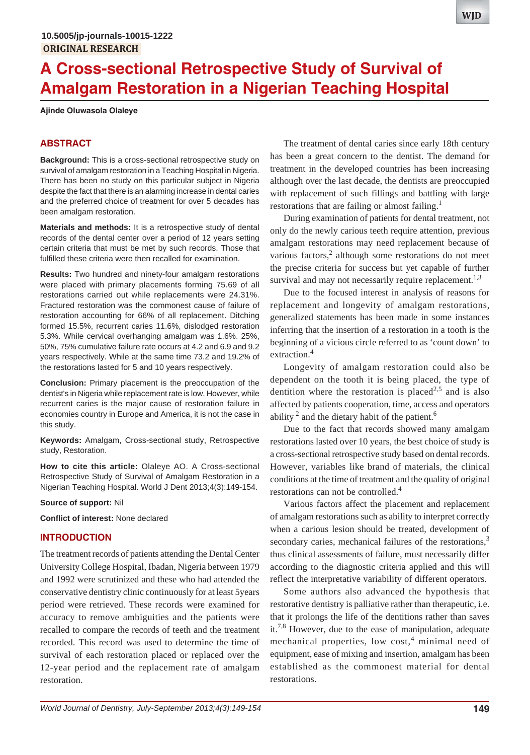# **A Cross-sectional Retrospective Study of Survival of Amalgam Restoration in a Nigerian Teaching Hospital**

**Ajinde Oluwasola Olaleye**

## **ABSTRACT**

**Background:** This is a cross-sectional retrospective study on survival of amalgam restoration in a Teaching Hospital in Nigeria. There has been no study on this particular subject in Nigeria despite the fact that there is an alarming increase in dental caries and the preferred choice of treatment for over 5 decades has been amalgam restoration.

**Materials and methods:** It is a retrospective study of dental records of the dental center over a period of 12 years setting certain criteria that must be met by such records. Those that fulfilled these criteria were then recalled for examination.

**Results:** Two hundred and ninety-four amalgam restorations were placed with primary placements forming 75.69 of all restorations carried out while replacements were 24.31%. Fractured restoration was the commonest cause of failure of restoration accounting for 66% of all replacement. Ditching formed 15.5%, recurrent caries 11.6%, dislodged restoration 5.3%. While cervical overhanging amalgam was 1.6%. 25%, 50%, 75% cumulative failure rate occurs at 4.2 and 6.9 and 9.2 years respectively. While at the same time 73.2 and 19.2% of the restorations lasted for 5 and 10 years respectively.

**Conclusion:** Primary placement is the preoccupation of the dentist's in Nigeria while replacement rate is low. However, while recurrent caries is the major cause of restoration failure in economies country in Europe and America, it is not the case in this study.

**Keywords:** Amalgam, Cross-sectional study, Retrospective study, Restoration.

**How to cite this article:** Olaleye AO. A Cross-sectional Retrospective Study of Survival of Amalgam Restoration in a Nigerian Teaching Hospital. World J Dent 2013;4(3):149-154.

#### **Source of support:** Nil

**Conflict of interest:** None declared

### **INTRODUCTION**

The treatment records of patients attending the Dental Center University College Hospital, Ibadan, Nigeria between 1979 and 1992 were scrutinized and these who had attended the conservative dentistry clinic continuously for at least 5years period were retrieved. These records were examined for accuracy to remove ambiguities and the patients were recalled to compare the records of teeth and the treatment recorded. This record was used to determine the time of survival of each restoration placed or replaced over the 12-year period and the replacement rate of amalgam restoration.

The treatment of dental caries since early 18th century has been a great concern to the dentist. The demand for treatment in the developed countries has been increasing although over the last decade, the dentists are preoccupied with replacement of such fillings and battling with large restorations that are failing or almost failing.<sup>1</sup>

During examination of patients for dental treatment, not only do the newly carious teeth require attention, previous amalgam restorations may need replacement because of various factors,<sup>2</sup> although some restorations do not meet the precise criteria for success but yet capable of further survival and may not necessarily require replacement.<sup>1,3</sup>

Due to the focused interest in analysis of reasons for replacement and longevity of amalgam restorations, generalized statements has been made in some instances inferring that the insertion of a restoration in a tooth is the beginning of a vicious circle referred to as 'count down' to extraction.<sup>4</sup>

Longevity of amalgam restoration could also be dependent on the tooth it is being placed, the type of dentition where the restoration is placed<sup>2,5</sup> and is also affected by patients cooperation, time, access and operators ability  $2$  and the dietary habit of the patient.<sup>6</sup>

Due to the fact that records showed many amalgam restorations lasted over 10 years, the best choice of study is a cross-sectional retrospective study based on dental records. However, variables like brand of materials, the clinical conditions at the time of treatment and the quality of original restorations can not be controlled.<sup>4</sup>

Various factors affect the placement and replacement of amalgam restorations such as ability to interpret correctly when a carious lesion should be treated, development of secondary caries, mechanical failures of the restorations,<sup>3</sup> thus clinical assessments of failure, must necessarily differ according to the diagnostic criteria applied and this will reflect the interpretative variability of different operators.

Some authors also advanced the hypothesis that restorative dentistry is palliative rather than therapeutic, i.e. that it prolongs the life of the dentitions rather than saves it.<sup>7,8</sup> However, due to the ease of manipulation, adequate mechanical properties, low cost,<sup>4</sup> minimal need of equipment, ease of mixing and insertion, amalgam has been established as the commonest material for dental restorations.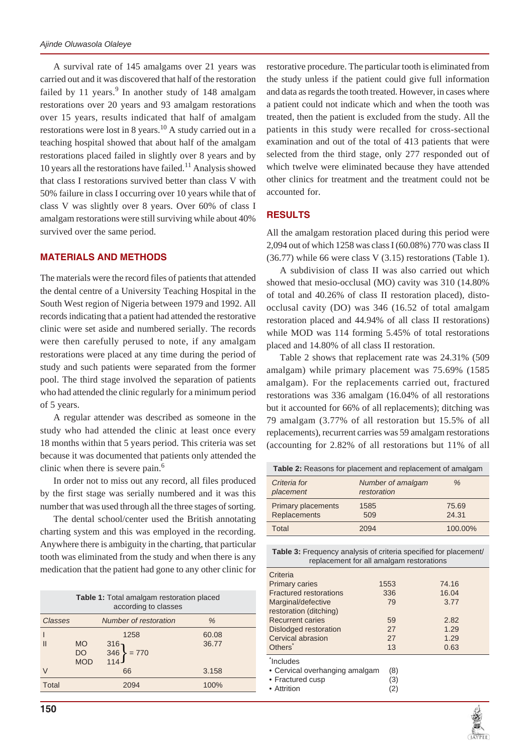A survival rate of 145 amalgams over 21 years was carried out and it was discovered that half of the restoration failed by 11 years.<sup>9</sup> In another study of 148 amalgam restorations over 20 years and 93 amalgam restorations over 15 years, results indicated that half of amalgam restorations were lost in 8 years.<sup>10</sup> A study carried out in a teaching hospital showed that about half of the amalgam restorations placed failed in slightly over 8 years and by 10 years all the restorations have failed.<sup>11</sup> Analysis showed that class I restorations survived better than class V with 50% failure in class I occurring over 10 years while that of class V was slightly over 8 years. Over 60% of class I amalgam restorations were still surviving while about 40% survived over the same period.

## **MATERIALS AND METHODS**

The materials were the record files of patients that attended the dental centre of a University Teaching Hospital in the South West region of Nigeria between 1979 and 1992. All records indicating that a patient had attended the restorative clinic were set aside and numbered serially. The records were then carefully perused to note, if any amalgam restorations were placed at any time during the period of study and such patients were separated from the former pool. The third stage involved the separation of patients who had attended the clinic regularly for a minimum period of 5 years.

A regular attender was described as someone in the study who had attended the clinic at least once every 18 months within that 5 years period. This criteria was set because it was documented that patients only attended the clinic when there is severe pain.<sup>6</sup>

In order not to miss out any record, all files produced by the first stage was serially numbered and it was this number that was used through all the three stages of sorting.

The dental school/center used the British annotating charting system and this was employed in the recording. Anywhere there is ambiguity in the charting, that particular tooth was eliminated from the study and when there is any medication that the patient had gone to any other clinic for

| Table 1: Total amalgam restoration placed<br>according to classes |                                |                                                                 |                |  |
|-------------------------------------------------------------------|--------------------------------|-----------------------------------------------------------------|----------------|--|
| Classes                                                           |                                | Number of restoration                                           | %              |  |
|                                                                   | <b>MO</b><br>DO.<br><b>MOD</b> | 1258<br>$\begin{bmatrix} 316 \\ 346 \\ 114 \end{bmatrix} = 770$ | 60.08<br>36.77 |  |
| V                                                                 |                                | 66                                                              | 3.158          |  |
| Total                                                             |                                | 2094                                                            | 100%           |  |

restorative procedure. The particular tooth is eliminated from the study unless if the patient could give full information and data as regards the tooth treated. However, in cases where a patient could not indicate which and when the tooth was treated, then the patient is excluded from the study. All the patients in this study were recalled for cross-sectional examination and out of the total of 413 patients that were selected from the third stage, only 277 responded out of which twelve were eliminated because they have attended other clinics for treatment and the treatment could not be accounted for.

## **RESULTS**

All the amalgam restoration placed during this period were 2,094 out of which 1258 was class I (60.08%) 770 was class II (36.77) while 66 were class V (3.15) restorations (Table 1).

A subdivision of class II was also carried out which showed that mesio-occlusal (MO) cavity was 310 (14.80% of total and 40.26% of class II restoration placed), distoocclusal cavity (DO) was 346 (16.52 of total amalgam restoration placed and 44.94% of all class II restorations) while MOD was 114 forming 5.45% of total restorations placed and 14.80% of all class II restoration.

Table 2 shows that replacement rate was 24.31% (509 amalgam) while primary placement was 75.69% (1585 amalgam). For the replacements carried out, fractured restorations was 336 amalgam (16.04% of all restorations but it accounted for 66% of all replacements); ditching was 79 amalgam (3.77% of all restoration but 15.5% of all replacements), recurrent carries was 59 amalgam restorations (accounting for 2.82% of all restorations but 11% of all

**Table 2:** Reasons for placement and replacement of amalgam

| Criteria for<br>placement                        | Number of amalgam<br>restoration | $\%$           |
|--------------------------------------------------|----------------------------------|----------------|
| <b>Primary placements</b><br><b>Replacements</b> | 1585<br>509                      | 75.69<br>24.31 |
| Total                                            | 2094                             | 100.00%        |

**Table 3:** Frequency analysis of criteria specified for placement/ replacement for all amalgam restorations

| Criteria                       |                   |       |
|--------------------------------|-------------------|-------|
| <b>Primary caries</b>          | 1553              | 74.16 |
| <b>Fractured restorations</b>  | 336               | 16.04 |
| Marginal/defective             | 79                | 3.77  |
| restoration (ditching)         |                   |       |
| <b>Recurrent caries</b>        | 59                | 2.82  |
| Dislodged restoration          | 27                | 1.29  |
| Cervical abrasion              | 27                | 1.29  |
| Others <sup>®</sup>            | 13                | 0.63  |
| <i>Includes</i>                |                   |       |
| • Cervical overhanging amalgam | (8)               |       |
| • Fractured cusp               | (3)               |       |
| • Attrition                    | $\left( 2\right)$ |       |
|                                |                   |       |

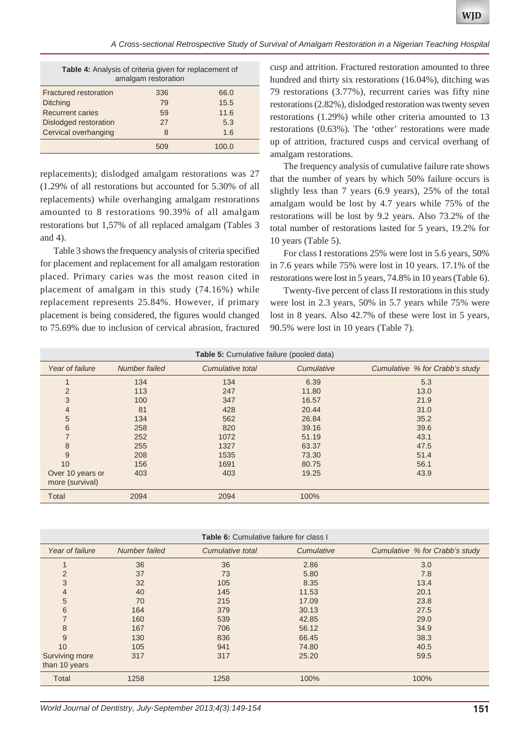*A Cross-sectional Retrospective Study of Survival of Amalgam Restoration in a Nigerian Teaching Hospital*

| Table 4: Analysis of criteria given for replacement of<br>amalgam restoration |     |       |  |  |  |
|-------------------------------------------------------------------------------|-----|-------|--|--|--|
| Fractured restoration                                                         | 336 | 66.0  |  |  |  |
| <b>Ditching</b>                                                               | 79  | 15.5  |  |  |  |
| <b>Recurrent caries</b>                                                       | 59  | 11.6  |  |  |  |
| Dislodged restoration                                                         | 27  | 5.3   |  |  |  |
| Cervical overhanging                                                          | 8   | 1.6   |  |  |  |
|                                                                               | 509 | 100.0 |  |  |  |

replacements); dislodged amalgam restorations was 27 (1.29% of all restorations but accounted for 5.30% of all replacements) while overhanging amalgam restorations amounted to 8 restorations 90.39% of all amalgam restorations but 1,57% of all replaced amalgam (Tables 3 and 4).

Table 3 shows the frequency analysis of criteria specified for placement and replacement for all amalgam restoration placed. Primary caries was the most reason cited in placement of amalgam in this study (74.16%) while replacement represents 25.84%. However, if primary placement is being considered, the figures would changed to 75.69% due to inclusion of cervical abrasion, fractured

cusp and attrition. Fractured restoration amounted to three hundred and thirty six restorations (16.04%), ditching was 79 restorations (3.77%), recurrent caries was fifty nine restorations (2.82%), dislodged restoration was twenty seven restorations (1.29%) while other criteria amounted to 13 restorations (0.63%). The 'other' restorations were made up of attrition, fractured cusps and cervical overhang of amalgam restorations.

The frequency analysis of cumulative failure rate shows that the number of years by which 50% failure occurs is slightly less than 7 years (6.9 years), 25% of the total amalgam would be lost by 4.7 years while 75% of the restorations will be lost by 9.2 years. Also 73.2% of the total number of restorations lasted for 5 years, 19.2% for 10 years (Table 5).

For class I restorations 25% were lost in 5.6 years, 50% in 7.6 years while 75% were lost in 10 years. 17.1% of the restorations were lost in 5 years, 74.8% in 10 years (Table 6).

Twenty-five percent of class II restorations in this study were lost in 2.3 years, 50% in 5.7 years while 75% were lost in 8 years. Also 42.7% of these were lost in 5 years, 90.5% were lost in 10 years (Table 7).

| <b>Table 5:</b> Cumulative failure (pooled data) |               |                  |            |                                |  |
|--------------------------------------------------|---------------|------------------|------------|--------------------------------|--|
| Year of failure                                  | Number failed | Cumulative total | Cumulative | Cumulative % for Crabb's study |  |
|                                                  | 134           | 134              | 6.39       | 5.3                            |  |
| $\overline{2}$                                   | 113           | 247              | 11.80      | 13.0                           |  |
| 3                                                | 100           | 347              | 16.57      | 21.9                           |  |
| $\overline{4}$                                   | 81            | 428              | 20.44      | 31.0                           |  |
| $\overline{5}$                                   | 134           | 562              | 26.84      | 35.2                           |  |
| 6                                                | 258           | 820              | 39.16      | 39.6                           |  |
| $\overline{7}$                                   | 252           | 1072             | 51.19      | 43.1                           |  |
| 8                                                | 255           | 1327             | 63.37      | 47.5                           |  |
| 9                                                | 208           | 1535             | 73.30      | 51.4                           |  |
| 10                                               | 156           | 1691             | 80.75      | 56.1                           |  |
| Over 10 years or<br>more (survival)              | 403           | 403              | 19.25      | 43.9                           |  |
| Total                                            | 2094          | 2094             | 100%       |                                |  |

|                 |               | <b>Table 6:</b> Cumulative failure for class I |            |                                |
|-----------------|---------------|------------------------------------------------|------------|--------------------------------|
| Year of failure | Number failed | Cumulative total                               | Cumulative | Cumulative % for Crabb's study |
|                 | 36            | 36                                             | 2.86       | 3.0                            |
| 2               | 37            | 73                                             | 5.80       | 7.8                            |
| 3               | 32            | 105                                            | 8.35       | 13.4                           |
| $\overline{4}$  | 40            | 145                                            | 11.53      | 20.1                           |
| 5               | 70            | 215                                            | 17.09      | 23.8                           |
| 6               | 164           | 379                                            | 30.13      | 27.5                           |
|                 | 160           | 539                                            | 42.85      | 29.0                           |
| 8               | 167           | 706                                            | 56.12      | 34.9                           |
| 9               | 130           | 836                                            | 66.45      | 38.3                           |
| 10              | 105           | 941                                            | 74.80      | 40.5                           |
| Surviving more  | 317           | 317                                            | 25.20      | 59.5                           |
| than 10 years   |               |                                                |            |                                |
| Total           | 1258          | 1258                                           | 100%       | 100%                           |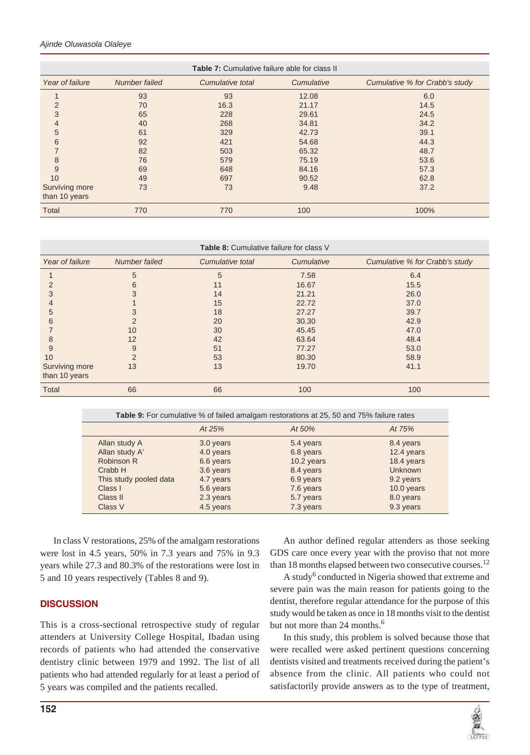#### *Ajinde Oluwasola Olaleye*

|                       |               | Table 7: Cumulative failure able for class II |            |                                |
|-----------------------|---------------|-----------------------------------------------|------------|--------------------------------|
| Year of failure       | Number failed | Cumulative total                              | Cumulative | Cumulative % for Crabb's study |
| $\mathbf 1$           | 93            | 93                                            | 12.08      | 6.0                            |
| $\overline{2}$        | 70            | 16.3                                          | 21.17      | 14.5                           |
| 3                     | 65            | 228                                           | 29.61      | 24.5                           |
| $\overline{4}$        | 40            | 268                                           | 34.81      | 34.2                           |
| 5                     | 61            | 329                                           | 42.73      | 39.1                           |
| 6                     | 92            | 421                                           | 54.68      | 44.3                           |
| $\overline{7}$        | 82            | 503                                           | 65.32      | 48.7                           |
| 8                     | 76            | 579                                           | 75.19      | 53.6                           |
| 9                     | 69            | 648                                           | 84.16      | 57.3                           |
| 10                    | 49            | 697                                           | 90.52      | 62.8                           |
| <b>Surviving more</b> | 73            | 73                                            | 9.48       | 37.2                           |
| than 10 years         |               |                                               |            |                                |
| Total                 | 770           | 770                                           | 100        | 100%                           |

**Table 8:** Cumulative failure for class V

| Year of failure | Number failed | Cumulative total | Cumulative | Cumulative % for Crabb's study |
|-----------------|---------------|------------------|------------|--------------------------------|
|                 | 5             | 5                | 7.58       | 6.4                            |
|                 | 6             | 11               | 16.67      | 15.5                           |
| 3               |               | 14               | 21.21      | 26.0                           |
|                 |               | 15               | 22.72      | 37.0                           |
| 5               |               | 18               | 27.27      | 39.7                           |
| 6               |               | 20               | 30.30      | 42.9                           |
|                 | 10            | 30               | 45.45      | 47.0                           |
| 8               | 12            | 42               | 63.64      | 48.4                           |
| 9               | 9             | 51               | 77.27      | 53.0                           |
| 10              |               | 53               | 80.30      | 58.9                           |
| Surviving more  | 13            | 13               | 19.70      | 41.1                           |
| than 10 years   |               |                  |            |                                |
| Total           | 66            | 66               | 100        | 100                            |

| <b>Table 9:</b> For cumulative % of failed amalgam restorations at 25, 50 and 75% failure rates |           |            |                |  |
|-------------------------------------------------------------------------------------------------|-----------|------------|----------------|--|
|                                                                                                 | At 25%    | At 50%     | At 75%         |  |
| Allan study A                                                                                   | 3.0 years | 5.4 years  | 8.4 years      |  |
| Allan study A'                                                                                  | 4.0 years | 6.8 years  | 12.4 years     |  |
| Robinson R                                                                                      | 6.6 years | 10.2 years | 18.4 years     |  |
| Crabb H                                                                                         | 3.6 years | 8.4 years  | <b>Unknown</b> |  |
| This study pooled data                                                                          | 4.7 years | 6.9 years  | 9.2 years      |  |
| Class I                                                                                         | 5.6 years | 7.6 years  | 10.0 years     |  |
| Class II                                                                                        | 2.3 years | 5.7 years  | 8.0 years      |  |
| Class V                                                                                         | 4.5 years | 7.3 years  | 9.3 years      |  |

In class V restorations, 25% of the amalgam restorations were lost in 4.5 years, 50% in 7.3 years and 75% in 9.3 years while 27.3 and 80.3% of the restorations were lost in 5 and 10 years respectively (Tables 8 and 9).

## **DISCUSSION**

This is a cross-sectional retrospective study of regular attenders at University College Hospital, Ibadan using records of patients who had attended the conservative dentistry clinic between 1979 and 1992. The list of all patients who had attended regularly for at least a period of 5 years was compiled and the patients recalled.

An author defined regular attenders as those seeking GDS care once every year with the proviso that not more than 18 months elapsed between two consecutive courses.<sup>12</sup>

A study<sup>6</sup> conducted in Nigeria showed that extreme and severe pain was the main reason for patients going to the dentist, therefore regular attendance for the purpose of this study would be taken as once in 18 months visit to the dentist but not more than 24 months.<sup>6</sup>

In this study, this problem is solved because those that were recalled were asked pertinent questions concerning dentists visited and treatments received during the patient's absence from the clinic. All patients who could not satisfactorily provide answers as to the type of treatment,

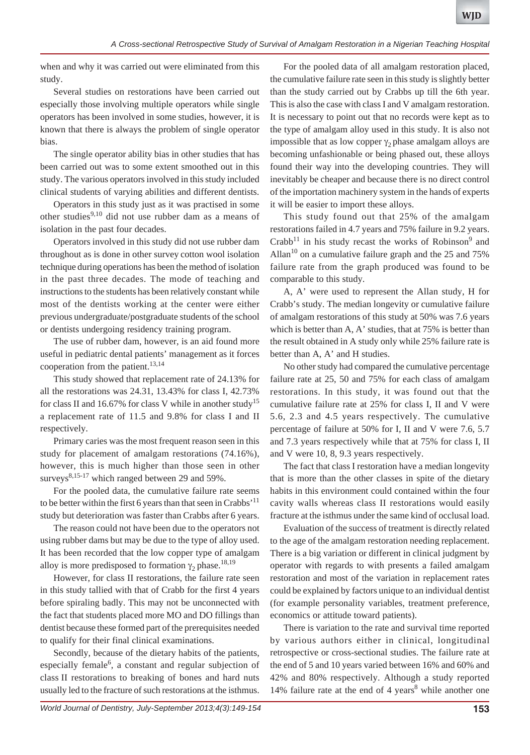when and why it was carried out were eliminated from this study.

Several studies on restorations have been carried out especially those involving multiple operators while single operators has been involved in some studies, however, it is known that there is always the problem of single operator bias.

The single operator ability bias in other studies that has been carried out was to some extent smoothed out in this study. The various operators involved in this study included clinical students of varying abilities and different dentists.

Operators in this study just as it was practised in some other studies<sup>9,10</sup> did not use rubber dam as a means of isolation in the past four decades.

Operators involved in this study did not use rubber dam throughout as is done in other survey cotton wool isolation technique during operations has been the method of isolation in the past three decades. The mode of teaching and instructions to the students has been relatively constant while most of the dentists working at the center were either previous undergraduate/postgraduate students of the school or dentists undergoing residency training program.

The use of rubber dam, however, is an aid found more useful in pediatric dental patients' management as it forces cooperation from the patient.<sup>13,14</sup>

This study showed that replacement rate of 24.13% for all the restorations was 24.31, 13.43% for class I, 42.73% for class II and 16.67% for class V while in another study<sup>15</sup> a replacement rate of 11.5 and 9.8% for class I and II respectively.

Primary caries was the most frequent reason seen in this study for placement of amalgam restorations (74.16%), however, this is much higher than those seen in other surveys<sup>8,15-17</sup> which ranged between 29 and 59%.

For the pooled data, the cumulative failure rate seems to be better within the first 6 years than that seen in Crabbs'11 study but deterioration was faster than Crabbs after 6 years.

The reason could not have been due to the operators not using rubber dams but may be due to the type of alloy used. It has been recorded that the low copper type of amalgam alloy is more predisposed to formation  $\gamma_2$  phase.<sup>18,19</sup>

However, for class II restorations, the failure rate seen in this study tallied with that of Crabb for the first 4 years before spiraling badly. This may not be unconnected with the fact that students placed more MO and DO fillings than dentist because these formed part of the prerequisites needed to qualify for their final clinical examinations.

Secondly, because of the dietary habits of the patients, especially female<sup>6</sup>, a constant and regular subjection of class II restorations to breaking of bones and hard nuts usually led to the fracture of such restorations at the isthmus.

For the pooled data of all amalgam restoration placed, the cumulative failure rate seen in this study is slightly better than the study carried out by Crabbs up till the 6th year. This is also the case with class I and V amalgam restoration. It is necessary to point out that no records were kept as to the type of amalgam alloy used in this study. It is also not impossible that as low copper  $\gamma_2$  phase amalgam alloys are becoming unfashionable or being phased out, these alloys found their way into the developing countries. They will inevitably be cheaper and because there is no direct control of the importation machinery system in the hands of experts it will be easier to import these alloys.

This study found out that 25% of the amalgam restorations failed in 4.7 years and 75% failure in 9.2 years. Crabb<sup>11</sup> in his study recast the works of Robinson<sup>9</sup> and Allan<sup>10</sup> on a cumulative failure graph and the 25 and  $75\%$ failure rate from the graph produced was found to be comparable to this study.

A, A' were used to represent the Allan study, H for Crabb's study. The median longevity or cumulative failure of amalgam restorations of this study at 50% was 7.6 years which is better than A, A' studies, that at 75% is better than the result obtained in A study only while 25% failure rate is better than A, A' and H studies.

No other study had compared the cumulative percentage failure rate at 25, 50 and 75% for each class of amalgam restorations. In this study, it was found out that the cumulative failure rate at 25% for class I, II and V were 5.6, 2.3 and 4.5 years respectively. The cumulative percentage of failure at 50% for I, II and V were 7.6, 5.7 and 7.3 years respectively while that at 75% for class I, II and V were 10, 8, 9.3 years respectively.

The fact that class I restoration have a median longevity that is more than the other classes in spite of the dietary habits in this environment could contained within the four cavity walls whereas class II restorations would easily fracture at the isthmus under the same kind of occlusal load.

Evaluation of the success of treatment is directly related to the age of the amalgam restoration needing replacement. There is a big variation or different in clinical judgment by operator with regards to with presents a failed amalgam restoration and most of the variation in replacement rates could be explained by factors unique to an individual dentist (for example personality variables, treatment preference, economics or attitude toward patients).

There is variation to the rate and survival time reported by various authors either in clinical, longitudinal retrospective or cross-sectional studies. The failure rate at the end of 5 and 10 years varied between 16% and 60% and 42% and 80% respectively. Although a study reported 14% failure rate at the end of 4 years $8$  while another one